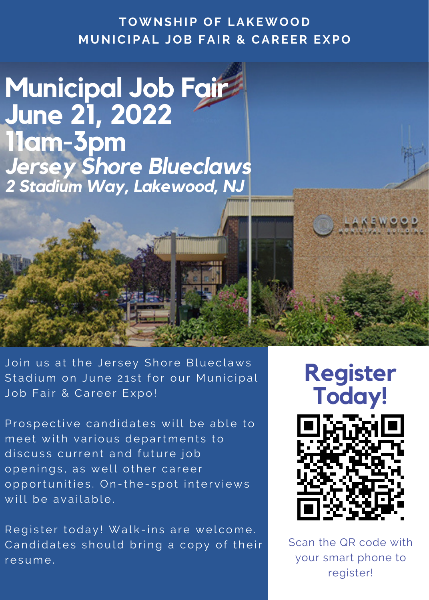**TOWNS H IP OF LAKEWOOD M UNICIPAL JOB FAIR & CAREER EXPO**

**Municipal Job Fair June 21, 2022 11am-3pm** *Jersey Shore Blueclaws 2 Stadium Way, Lakewood, NJ*

Join us at the Jersey Shore Blueclaws Stadium on June 21st for our Municipal Job Fair & Career Expo!

Prospective candidates will be able to meet with various departments to discuss current and future job openings, as well other career opportunities. On-the-spot interviews will be available.

Register today! Walk-ins are welcome. Candidates should bring a copy of their resume.



Scan the QR code with your smart phone to register!